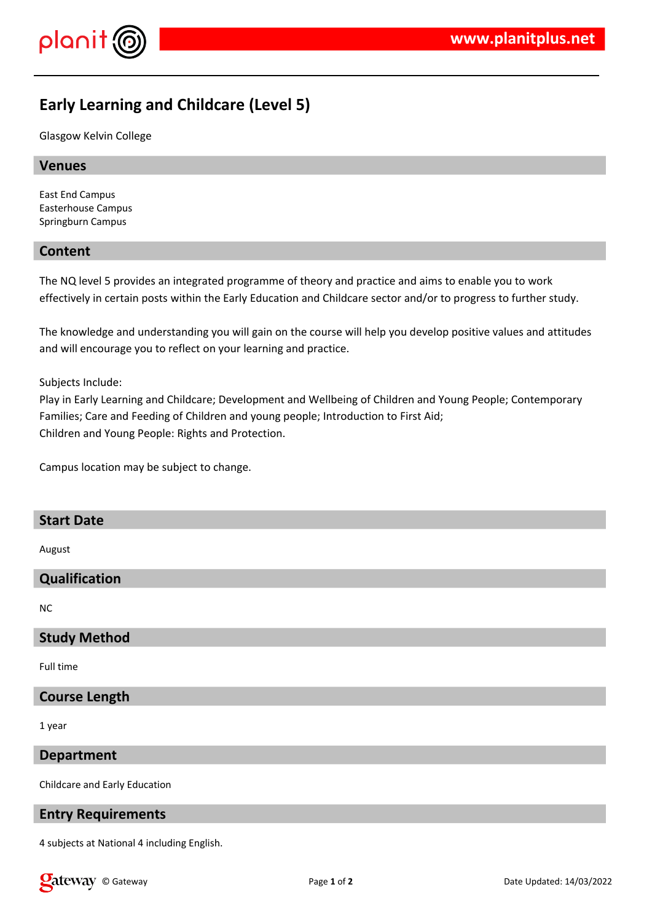

# **Early Learning and Childcare (Level 5)**

Glasgow Kelvin College

## **Venues**

East End Campus Easterhouse Campus Springburn Campus

## **Content**

The NQ level 5 provides an integrated programme of theory and practice and aims to enable you to work effectively in certain posts within the Early Education and Childcare sector and/or to progress to further study.

The knowledge and understanding you will gain on the course will help you develop positive values and attitudes and will encourage you to reflect on your learning and practice.

#### Subjects Include:

Play in Early Learning and Childcare; Development and Wellbeing of Children and Young People; Contemporary Families; Care and Feeding of Children and young people; Introduction to First Aid; Children and Young People: Rights and Protection.

Campus location may be subject to change.

## **Start Date**

August

# **Qualification**

NC

# **Study Method**

Full time

## **Course Length**

1 year

#### **Department**

Childcare and Early Education

## **Entry Requirements**

4 subjects at National 4 including English.

**Calcistary** © Gateway **Page 1** of 2 Date Updated: 14/03/2022